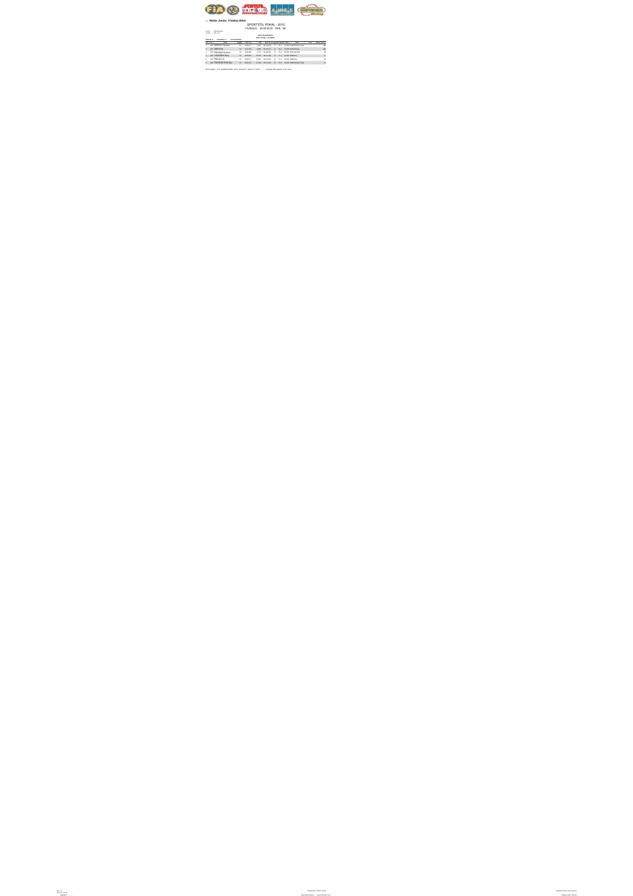

## Run: **Rotax Junior\_Finalna dirka**

## SPORTSTIL POKAL - 2010 CIVIDALE 25.09.2010. KKS - 06

Circuit: Pista Alberone Length: 820 met.

## **Race Classification**

**after 14 laps = 11,48 km**

**Started: 6 Classified: 6 Not Classified:**

| <b>Dead No. 1</b> | <b>Margaret</b>       |           | <b>Regular Tenations</b> |        | Gift Boy Tells Lealing Second Class  |  | <b>Minds</b>                                | Toronto. |    |
|-------------------|-----------------------|-----------|--------------------------|--------|--------------------------------------|--|---------------------------------------------|----------|----|
|                   | 1 410 HORVAT Domen    |           | 14 9.39.411              |        |                                      |  | 4.501 00.60078 13 73.7 RESP AMD Sander Cele |          | 12 |
|                   | 2 412 GRM Rok         | 14        | 3,41,878                 |        |                                      |  | 6.000 00:03/13 13 73.2 PASP MAM Racing      |          | 10 |
|                   | 3 421 PRAZNIK Klemen  |           | 14 N.44283               |        |                                      |  | 9.175 00:01:03 14 73.0 PATP AKCRAINED       |          | ٠  |
|                   | 4 430 VODUŠEK Nina    | <b>MA</b> | 9.93.283                 |        | 19.373 00:61.338 12 71.4 PASP AMO FM |  |                                             |          |    |
|                   | 4 413 PŠAJD Vid       |           | 14 8.95.871              |        | 21461 0041422 12 713 R43F AMD Ftd    |  |                                             |          | ٠  |
|                   | 4 422 PODKORITNIK Žan | <b>SA</b> | <b>BALLAST</b>           | 21,833 | 0041230                              |  | 13 T1.6 FA 37 AND Sander Cele               |          | ٠  |

Best Laptime : 418 KODRIĆ Martin Time: 00:40,010 Speed: 74 Km/h / Average Race Speed: 71,89 Km/h